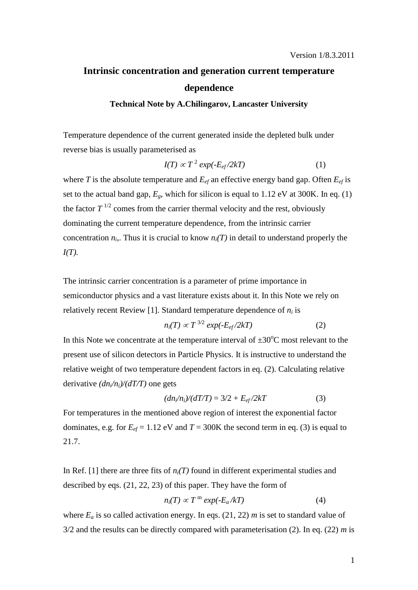## **Intrinsic concentration and generation current temperature dependence**

## **Technical Note by A.Chilingarov, Lancaster University**

Temperature dependence of the current generated inside the depleted bulk under reverse bias is usually parameterised as

$$
I(T) \propto T^2 \exp(-E_{ef}/2kT) \tag{1}
$$

where *T* is the absolute temperature and  $E_{ef}$  an effective energy band gap. Often  $E_{ef}$  is set to the actual band gap,  $E_g$ , which for silicon is equal to 1.12 eV at 300K. In eq. (1) the factor  $T^{1/2}$  comes from the carrier thermal velocity and the rest, obviously dominating the current temperature dependence, from the intrinsic carrier concentration  $n_i$ ,. Thus it is crucial to know  $n_i(T)$  in detail to understand properly the *I(T).* 

The intrinsic carrier concentration is a parameter of prime importance in semiconductor physics and a vast literature exists about it. In this Note we rely on relatively recent Review [1]. Standard temperature dependence of  $n_i$  is

$$
n_i(T) \propto T^{3/2} \exp(-E_{ef}/2kT) \tag{2}
$$

In this Note we concentrate at the temperature interval of  $\pm 30^{\circ}$ C most relevant to the present use of silicon detectors in Particle Physics. It is instructive to understand the relative weight of two temperature dependent factors in eq. (2). Calculating relative derivative  $\frac{dn_i}{n_i}$ / $\frac{dT}{T}$  one gets

$$
(dn_i/n_i)/(dT/T) = 3/2 + E_{ef}/2kT
$$
\n(3)

For temperatures in the mentioned above region of interest the exponential factor dominates, e.g. for  $E_{ef}$  = 1.12 eV and  $T$  = 300K the second term in eq. (3) is equal to 21.7.

In Ref. [1] there are three fits of  $n_i(T)$  found in different experimental studies and described by eqs. (21, 22, 23) of this paper. They have the form of

$$
n_i(T) \propto T^{\text{m}} \exp(-E_a/kT) \tag{4}
$$

where  $E_a$  is so called activation energy. In eqs. (21, 22) *m* is set to standard value of 3/2 and the results can be directly compared with parameterisation (2). In eq. (22) *m* is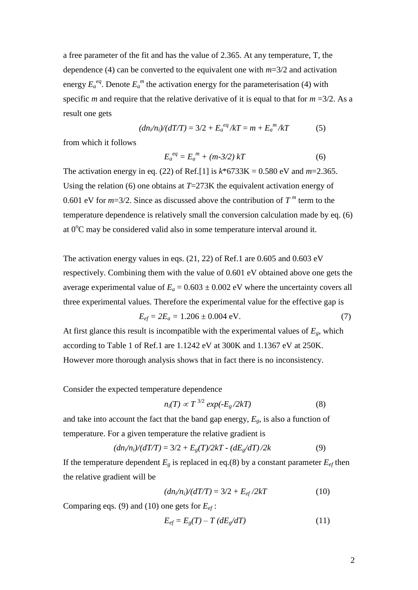a free parameter of the fit and has the value of 2.365. At any temperature, T, the dependence (4) can be converted to the equivalent one with *m*=3/2 and activation energy  $E_a^{eq}$ . Denote  $E_a^m$  the activation energy for the parameterisation (4) with specific *m* and require that the relative derivative of it is equal to that for  $m = 3/2$ . As a result one gets

$$
(dn_i/n_i)/(dT/T) = 3/2 + E_a^{eq}/kT = m + E_a^{m}/kT
$$
 (5)

from which it follows

$$
E_a^{eq} = E_a^{m} + (m-3/2) kT
$$
 (6)

The activation energy in eq. (22) of Ref.[1] is *k*\*6733K = 0.580 eV and *m*=2.365. Using the relation (6) one obtains at *T*=273K the equivalent activation energy of 0.601 eV for  $m=3/2$ . Since as discussed above the contribution of  $T^m$  term to the temperature dependence is relatively small the conversion calculation made by eq. (6) at  $0^{\circ}$ C may be considered valid also in some temperature interval around it.

The activation energy values in eqs.  $(21, 22)$  of Ref.1 are 0.605 and 0.603 eV respectively. Combining them with the value of 0.601 eV obtained above one gets the average experimental value of  $E_a = 0.603 \pm 0.002$  eV where the uncertainty covers all three experimental values. Therefore the experimental value for the effective gap is

$$
E_{ef} = 2E_a = 1.206 \pm 0.004 \text{ eV}.
$$
 (7)

At first glance this result is incompatible with the experimental values of  $E<sub>g</sub>$ , which according to Table 1 of Ref.1 are 1.1242 eV at 300K and 1.1367 eV at 250K. However more thorough analysis shows that in fact there is no inconsistency.

Consider the expected temperature dependence

$$
n_i(T) \propto T^{3/2} \exp(-E_g/2kT) \tag{8}
$$

and take into account the fact that the band gap energy,  $E_g$ , is also a function of temperature. For a given temperature the relative gradient is

$$
(dn_i/n_i)/(dT/T) = 3/2 + E_g(T)/2kT - (dE_g/dT)/2k
$$
\n(9)

If the temperature dependent  $E_g$  is replaced in eq.(8) by a constant parameter  $E_{ef}$  then the relative gradient will be

$$
(dn_i/n_i)/(dT/T) = 3/2 + E_{ef}/2kT
$$
 (10)

Comparing eqs. (9) and (10) one gets for *Eef* :

$$
E_{ef} = E_g(T) - T \left( dE_g/dT \right) \tag{11}
$$